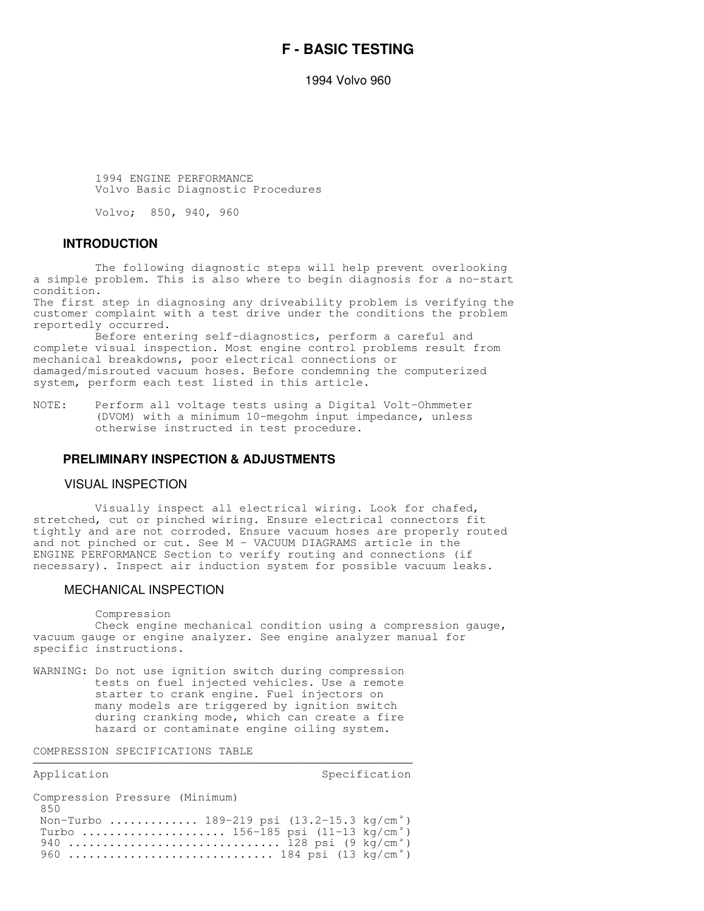# **F - BASIC TESTING**

1994 Volvo 960

 1994 ENGINE PERFORMANCE Volvo Basic Diagnostic Procedures

Volvo; 850, 940, 960

# **INTRODUCTION**

 The following diagnostic steps will help prevent overlooking a simple problem. This is also where to begin diagnosis for a no-start condition.

The first step in diagnosing any driveability problem is verifying the customer complaint with a test drive under the conditions the problem reportedly occurred.

 Before entering self-diagnostics, perform a careful and complete visual inspection. Most engine control problems result from mechanical breakdowns, poor electrical connections or damaged/misrouted vacuum hoses. Before condemning the computerized system, perform each test listed in this article.

NOTE: Perform all voltage tests using a Digital Volt-Ohmmeter (DVOM) with a minimum 10-megohm input impedance, unless otherwise instructed in test procedure.

#### **PRELIMINARY INSPECTION & ADJUSTMENTS**

#### VISUAL INSPECTION

 Visually inspect all electrical wiring. Look for chafed, stretched, cut or pinched wiring. Ensure electrical connectors fit tightly and are not corroded. Ensure vacuum hoses are properly routed and not pinched or cut. See M - VACUUM DIAGRAMS article in the ENGINE PERFORMANCE Section to verify routing and connections (if necessary). Inspect air induction system for possible vacuum leaks.

#### MECHANICAL INSPECTION

Compression

 Check engine mechanical condition using a compression gauge, vacuum gauge or engine analyzer. See engine analyzer manual for specific instructions.

WARNING: Do not use ignition switch during compression tests on fuel injected vehicles. Use a remote starter to crank engine. Fuel injectors on many models are triggered by ignition switch during cranking mode, which can create a fire hazard or contaminate engine oiling system.

,我们就会不会不会。""我们,我们不会不会不会不会。""我们,我们不会不会不会不会不会不会。""我们,我们不会不会不会不会不会。""我们,我们不会不会不会不会不

COMPRESSION SPECIFICATIONS TABLE

| Application |  |  |  |
|-------------|--|--|--|
|-------------|--|--|--|

Specification

| Compression Pressure (Minimum)                       |  |
|------------------------------------------------------|--|
| 850                                                  |  |
| Non-Turbo  189-219 psi $(13.2-15.3 \text{ kg/cm}^2)$ |  |
| Turbo  156-185 psi (11-13 kg/cm <sup>2</sup> )       |  |
| 940  128 psi $(9 \text{ kg/cm}^2)$                   |  |
| 960  184 psi (13 kg/cm <sup>2</sup> )                |  |
|                                                      |  |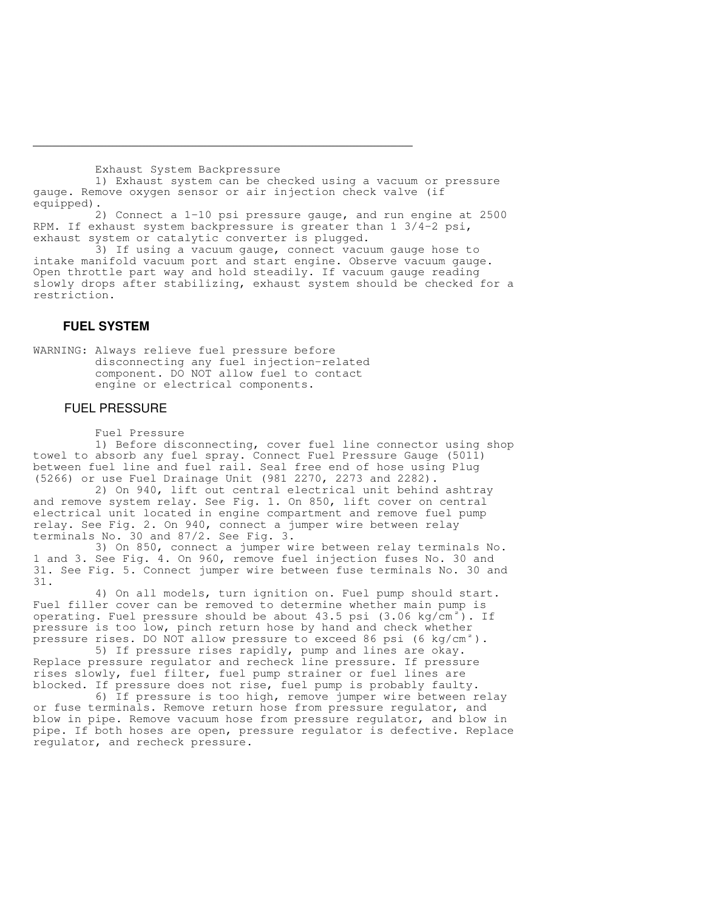Exhaust System Backpressure

 1) Exhaust system can be checked using a vacuum or pressure gauge. Remove oxygen sensor or air injection check valve (if equipped).

 2) Connect a 1-10 psi pressure gauge, and run engine at 2500 RPM. If exhaust system backpressure is greater than 1 3/4-2 psi, exhaust system or catalytic converter is plugged.

 3) If using a vacuum gauge, connect vacuum gauge hose to intake manifold vacuum port and start engine. Observe vacuum gauge. Open throttle part way and hold steadily. If vacuum gauge reading slowly drops after stabilizing, exhaust system should be checked for a restriction.

# **FUEL SYSTEM**

WARNING: Always relieve fuel pressure before disconnecting any fuel injection-related component. DO NOT allow fuel to contact engine or electrical components.

## FUEL PRESSURE

Fuel Pressure

 1) Before disconnecting, cover fuel line connector using shop towel to absorb any fuel spray. Connect Fuel Pressure Gauge (5011) between fuel line and fuel rail. Seal free end of hose using Plug (5266) or use Fuel Drainage Unit (981 2270, 2273 and 2282).

 2) On 940, lift out central electrical unit behind ashtray and remove system relay. See Fig. 1. On 850, lift cover on central electrical unit located in engine compartment and remove fuel pump relay. See Fig. 2. On 940, connect a jumper wire between relay terminals No. 30 and 87/2. See Fig. 3.

 3) On 850, connect a jumper wire between relay terminals No. 1 and 3. See Fig. 4. On 960, remove fuel injection fuses No. 30 and 31. See Fig. 5. Connect jumper wire between fuse terminals No. 30 and 31.

 4) On all models, turn ignition on. Fuel pump should start. Fuel filler cover can be removed to determine whether main pump is operating. Fuel pressure should be about  $43.5$  psi  $(3.06 \text{ kg/cm}^2)$ . If pressure is too low, pinch return hose by hand and check whether pressure rises. DO NOT allow pressure to exceed 86 psi (6 kg/cm<sup>2</sup>).

 5) If pressure rises rapidly, pump and lines are okay. Replace pressure regulator and recheck line pressure. If pressure rises slowly, fuel filter, fuel pump strainer or fuel lines are blocked. If pressure does not rise, fuel pump is probably faulty.

 6) If pressure is too high, remove jumper wire between relay or fuse terminals. Remove return hose from pressure regulator, and blow in pipe. Remove vacuum hose from pressure regulator, and blow in pipe. If both hoses are open, pressure regulator is defective. Replace regulator, and recheck pressure.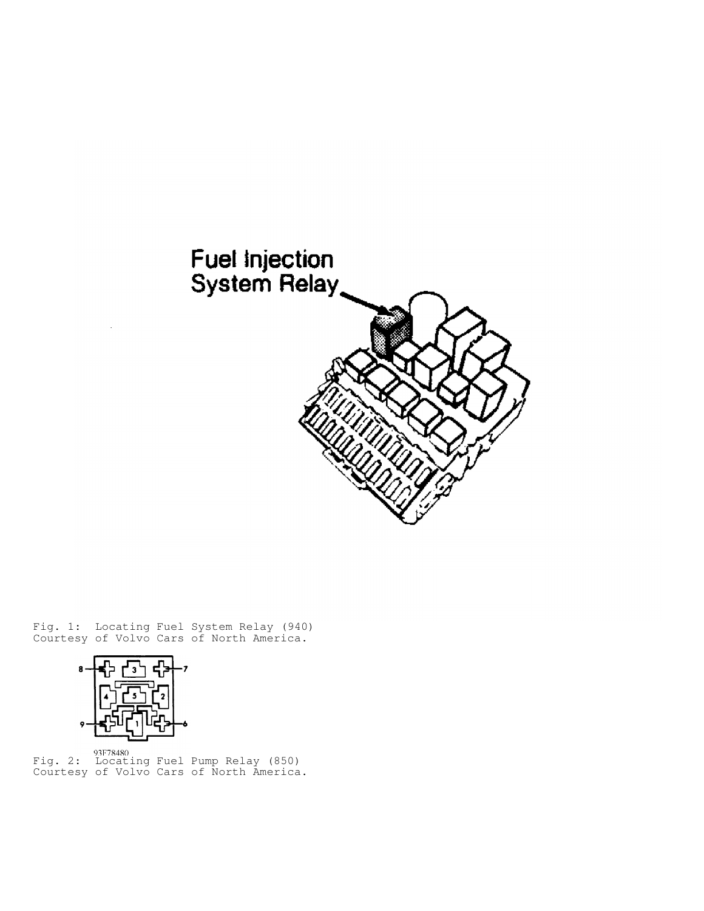

Fig. 1: Locating Fuel System Relay (940) Courtesy of Volvo Cars of North America.



Fig. 2: Locating Fuel Pump Relay (850) Courtesy of Volvo Cars of North America.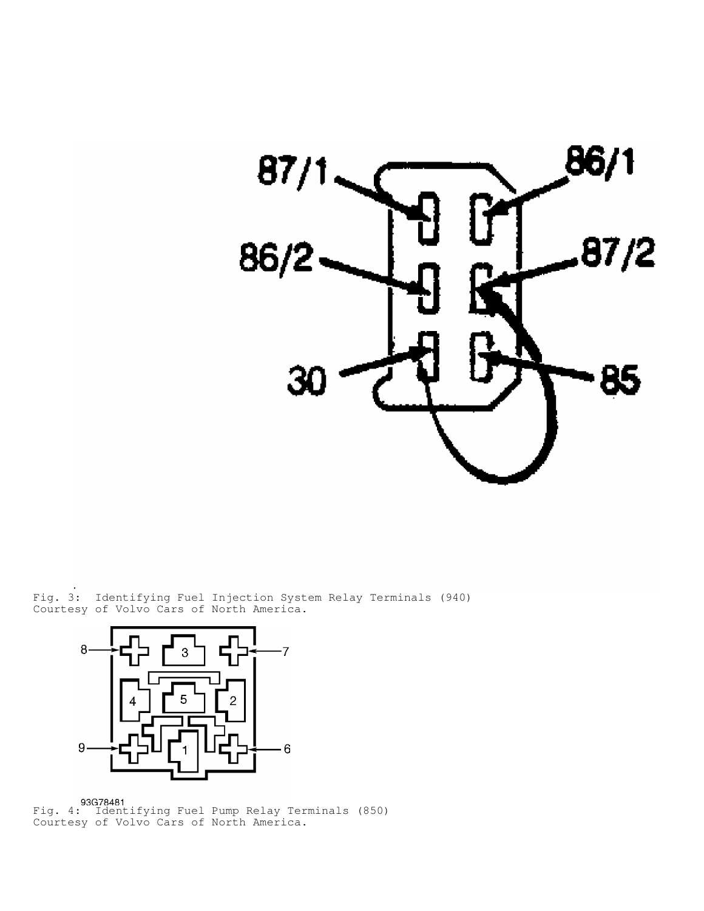

Fig. 3: Identifying Fuel Injection System Relay Terminals (940) Courtesy of Volvo Cars of North America.



Fig. 4: Identifying Fuel Pump Relay Terminals (850) Courtesy of Volvo Cars of North America.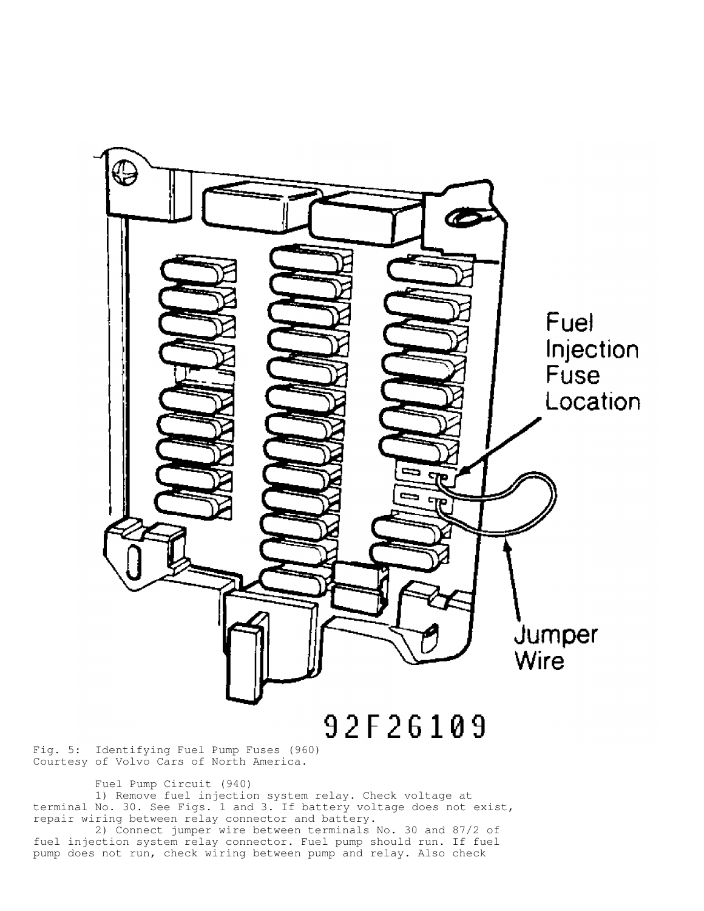

Fig. 5: Identifying Fuel Pump Fuses (960) Courtesy of Volvo Cars of North America.

Fuel Pump Circuit (940)

 1) Remove fuel injection system relay. Check voltage at terminal No. 30. See Figs. 1 and 3. If battery voltage does not exist, repair wiring between relay connector and battery.

 2) Connect jumper wire between terminals No. 30 and 87/2 of fuel injection system relay connector. Fuel pump should run. If fuel pump does not run, check wiring between pump and relay. Also check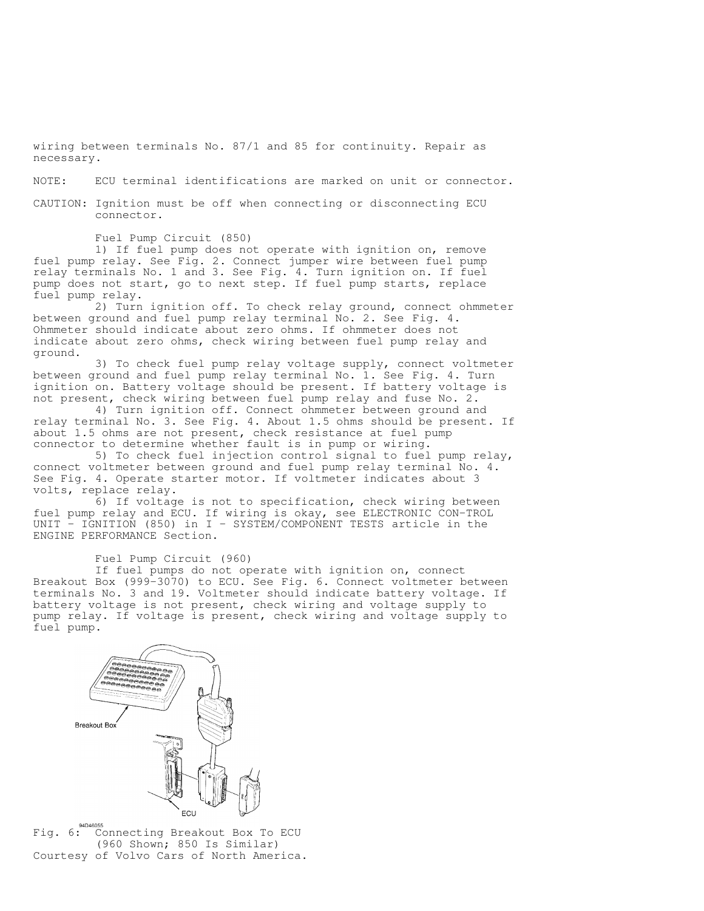wiring between terminals No. 87/1 and 85 for continuity. Repair as necessary.

NOTE: ECU terminal identifications are marked on unit or connector.

CAUTION: Ignition must be off when connecting or disconnecting ECU connector.

Fuel Pump Circuit (850)

 1) If fuel pump does not operate with ignition on, remove fuel pump relay. See Fig. 2. Connect jumper wire between fuel pump relay terminals No. 1 and 3. See Fig. 4. Turn ignition on. If fuel pump does not start, go to next step. If fuel pump starts, replace fuel pump relay.

 2) Turn ignition off. To check relay ground, connect ohmmeter between ground and fuel pump relay terminal No. 2. See Fig. 4. Ohmmeter should indicate about zero ohms. If ohmmeter does not indicate about zero ohms, check wiring between fuel pump relay and ground.

 3) To check fuel pump relay voltage supply, connect voltmeter between ground and fuel pump relay terminal No. 1. See Fig. 4. Turn ignition on. Battery voltage should be present. If battery voltage is not present, check wiring between fuel pump relay and fuse No. 2.

 4) Turn ignition off. Connect ohmmeter between ground and relay terminal No. 3. See Fig. 4. About 1.5 ohms should be present. If about 1.5 ohms are not present, check resistance at fuel pump connector to determine whether fault is in pump or wiring.

 5) To check fuel injection control signal to fuel pump relay, connect voltmeter between ground and fuel pump relay terminal No. 4. See Fig. 4. Operate starter motor. If voltmeter indicates about 3 volts, replace relay.

 6) If voltage is not to specification, check wiring between fuel pump relay and ECU. If wiring is okay, see ELECTRONIC CON-TROL UNIT - IGNITION (850) in I - SYSTEM/COMPONENT TESTS article in the ENGINE PERFORMANCE Section.

Fuel Pump Circuit (960)

 If fuel pumps do not operate with ignition on, connect Breakout Box (999-3070) to ECU. See Fig. 6. Connect voltmeter between terminals No. 3 and 19. Voltmeter should indicate battery voltage. If battery voltage is not present, check wiring and voltage supply to pump relay. If voltage is present, check wiring and voltage supply to fuel pump.



Fig. 6: Connecting Breakout Box To ECU (960 Shown; 850 Is Similar) Courtesy of Volvo Cars of North America.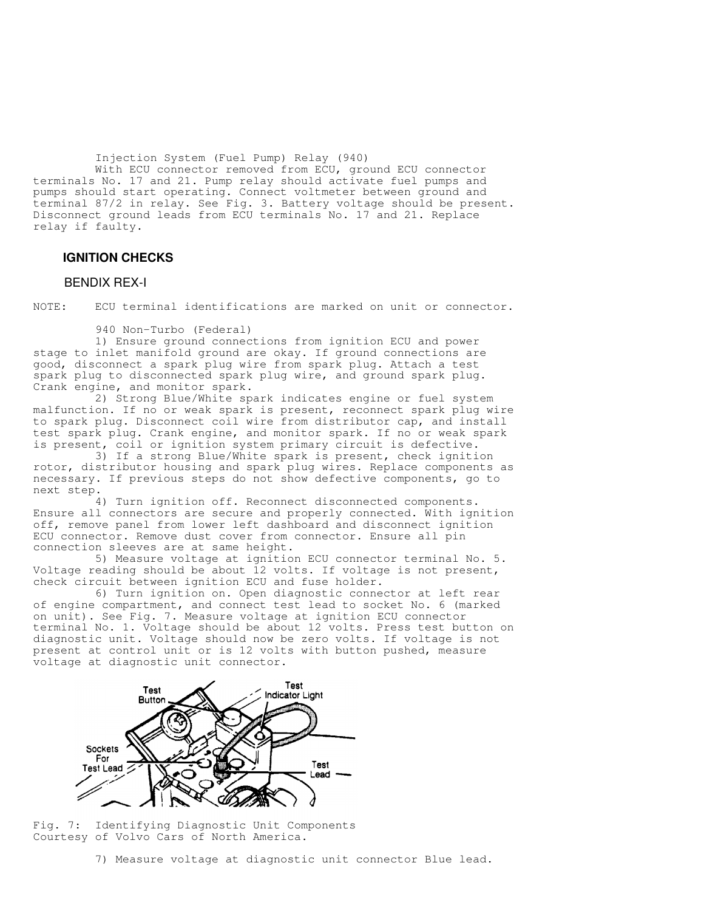Injection System (Fuel Pump) Relay (940)

 With ECU connector removed from ECU, ground ECU connector terminals No. 17 and 21. Pump relay should activate fuel pumps and pumps should start operating. Connect voltmeter between ground and terminal 87/2 in relay. See Fig. 3. Battery voltage should be present. Disconnect ground leads from ECU terminals No. 17 and 21. Replace relay if faulty.

## **IGNITION CHECKS**

#### BENDIX REX-I

NOTE: ECU terminal identifications are marked on unit or connector.

940 Non-Turbo (Federal)

 1) Ensure ground connections from ignition ECU and power stage to inlet manifold ground are okay. If ground connections are good, disconnect a spark plug wire from spark plug. Attach a test spark plug to disconnected spark plug wire, and ground spark plug. Crank engine, and monitor spark.

 2) Strong Blue/White spark indicates engine or fuel system malfunction. If no or weak spark is present, reconnect spark plug wire to spark plug. Disconnect coil wire from distributor cap, and install test spark plug. Crank engine, and monitor spark. If no or weak spark is present, coil or ignition system primary circuit is defective.

 3) If a strong Blue/White spark is present, check ignition rotor, distributor housing and spark plug wires. Replace components as necessary. If previous steps do not show defective components, go to next step.

 4) Turn ignition off. Reconnect disconnected components. Ensure all connectors are secure and properly connected. With ignition off, remove panel from lower left dashboard and disconnect ignition ECU connector. Remove dust cover from connector. Ensure all pin connection sleeves are at same height.

 5) Measure voltage at ignition ECU connector terminal No. 5. Voltage reading should be about 12 volts. If voltage is not present, check circuit between ignition ECU and fuse holder.

 6) Turn ignition on. Open diagnostic connector at left rear of engine compartment, and connect test lead to socket No. 6 (marked on unit). See Fig. 7. Measure voltage at ignition ECU connector terminal No. 1. Voltage should be about 12 volts. Press test button on diagnostic unit. Voltage should now be zero volts. If voltage is not present at control unit or is 12 volts with button pushed, measure voltage at diagnostic unit connector.



Fig. 7: Identifying Diagnostic Unit Components Courtesy of Volvo Cars of North America.

7) Measure voltage at diagnostic unit connector Blue lead.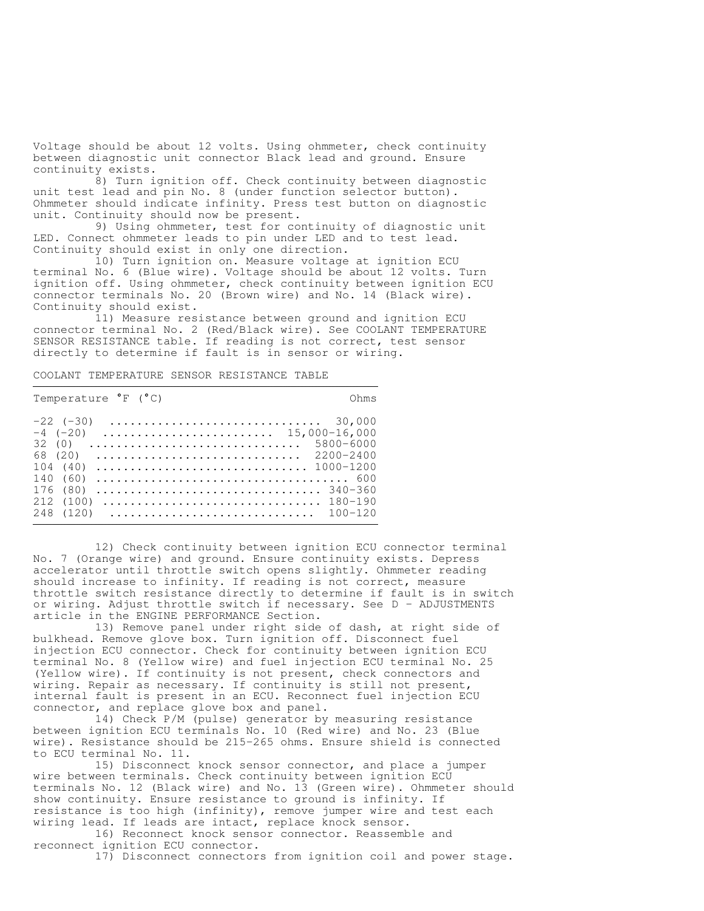Voltage should be about 12 volts. Using ohmmeter, check continuity between diagnostic unit connector Black lead and ground. Ensure continuity exists.

 8) Turn ignition off. Check continuity between diagnostic unit test lead and pin No. 8 (under function selector button). Ohmmeter should indicate infinity. Press test button on diagnostic unit. Continuity should now be present.

 9) Using ohmmeter, test for continuity of diagnostic unit LED. Connect ohmmeter leads to pin under LED and to test lead. Continuity should exist in only one direction.

 10) Turn ignition on. Measure voltage at ignition ECU terminal No. 6 (Blue wire). Voltage should be about 12 volts. Turn ignition off. Using ohmmeter, check continuity between ignition ECU connector terminals No. 20 (Brown wire) and No. 14 (Black wire). Continuity should exist.

 11) Measure resistance between ground and ignition ECU connector terminal No. 2 (Red/Black wire). See COOLANT TEMPERATURE SENSOR RESISTANCE table. If reading is not correct, test sensor directly to determine if fault is in sensor or wiring.

COOLANT TEMPERATURE SENSOR RESISTANCE TABLE

| Temperature |  | (°C) |  |
|-------------|--|------|--|
|-------------|--|------|--|

C) Ohms

|  |  |  |  |  | $-4$ (-20)  15,000-16,000                                                   |
|--|--|--|--|--|-----------------------------------------------------------------------------|
|  |  |  |  |  |                                                                             |
|  |  |  |  |  | 68 (20) $\dots\dots\dots\dots\dots\dots\dots\dots\dots\dots\dots$ 2200-2400 |
|  |  |  |  |  |                                                                             |
|  |  |  |  |  |                                                                             |
|  |  |  |  |  |                                                                             |
|  |  |  |  |  |                                                                             |
|  |  |  |  |  |                                                                             |
|  |  |  |  |  |                                                                             |

 12) Check continuity between ignition ECU connector terminal No. 7 (Orange wire) and ground. Ensure continuity exists. Depress accelerator until throttle switch opens slightly. Ohmmeter reading should increase to infinity. If reading is not correct, measure throttle switch resistance directly to determine if fault is in switch or wiring. Adjust throttle switch if necessary. See D - ADJUSTMENTS article in the ENGINE PERFORMANCE Section.

 13) Remove panel under right side of dash, at right side of bulkhead. Remove glove box. Turn ignition off. Disconnect fuel injection ECU connector. Check for continuity between ignition ECU terminal No. 8 (Yellow wire) and fuel injection ECU terminal No. 25 (Yellow wire). If continuity is not present, check connectors and wiring. Repair as necessary. If continuity is still not present, internal fault is present in an ECU. Reconnect fuel injection ECU connector, and replace glove box and panel.

 14) Check P/M (pulse) generator by measuring resistance between ignition ECU terminals No. 10 (Red wire) and No. 23 (Blue wire). Resistance should be 215-265 ohms. Ensure shield is connected to ECU terminal No. 11.

 15) Disconnect knock sensor connector, and place a jumper wire between terminals. Check continuity between ignition ECU terminals No. 12 (Black wire) and No. 13 (Green wire). Ohmmeter should show continuity. Ensure resistance to ground is infinity. If resistance is too high (infinity), remove jumper wire and test each wiring lead. If leads are intact, replace knock sensor.

 16) Reconnect knock sensor connector. Reassemble and reconnect ignition ECU connector.

17) Disconnect connectors from ignition coil and power stage.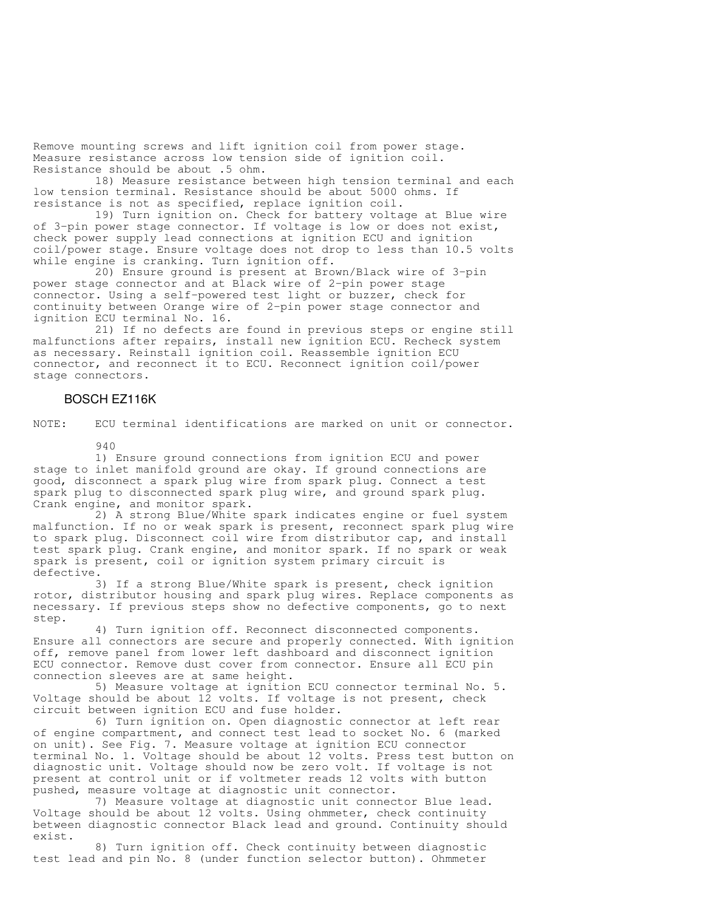Remove mounting screws and lift ignition coil from power stage. Measure resistance across low tension side of ignition coil. Resistance should be about .5 ohm.

 18) Measure resistance between high tension terminal and each low tension terminal. Resistance should be about 5000 ohms. If resistance is not as specified, replace ignition coil.

 19) Turn ignition on. Check for battery voltage at Blue wire of 3-pin power stage connector. If voltage is low or does not exist, check power supply lead connections at ignition ECU and ignition coil/power stage. Ensure voltage does not drop to less than 10.5 volts while engine is cranking. Turn ignition off.

 20) Ensure ground is present at Brown/Black wire of 3-pin power stage connector and at Black wire of 2-pin power stage connector. Using a self-powered test light or buzzer, check for continuity between Orange wire of 2-pin power stage connector and ignition ECU terminal No. 16.

 21) If no defects are found in previous steps or engine still malfunctions after repairs, install new ignition ECU. Recheck system as necessary. Reinstall ignition coil. Reassemble ignition ECU connector, and reconnect it to ECU. Reconnect ignition coil/power stage connectors.

## BOSCH EZ116K

NOTE: ECU terminal identifications are marked on unit or connector.

940

 1) Ensure ground connections from ignition ECU and power stage to inlet manifold ground are okay. If ground connections are good, disconnect a spark plug wire from spark plug. Connect a test spark plug to disconnected spark plug wire, and ground spark plug. Crank engine, and monitor spark.

 2) A strong Blue/White spark indicates engine or fuel system malfunction. If no or weak spark is present, reconnect spark plug wire to spark plug. Disconnect coil wire from distributor cap, and install test spark plug. Crank engine, and monitor spark. If no spark or weak spark is present, coil or ignition system primary circuit is defective.

 3) If a strong Blue/White spark is present, check ignition rotor, distributor housing and spark plug wires. Replace components as necessary. If previous steps show no defective components, go to next step.

 4) Turn ignition off. Reconnect disconnected components. Ensure all connectors are secure and properly connected. With ignition off, remove panel from lower left dashboard and disconnect ignition ECU connector. Remove dust cover from connector. Ensure all ECU pin connection sleeves are at same height.

 5) Measure voltage at ignition ECU connector terminal No. 5. Voltage should be about 12 volts. If voltage is not present, check circuit between ignition ECU and fuse holder.

 6) Turn ignition on. Open diagnostic connector at left rear of engine compartment, and connect test lead to socket No. 6 (marked on unit). See Fig. 7. Measure voltage at ignition ECU connector terminal No. 1. Voltage should be about 12 volts. Press test button on diagnostic unit. Voltage should now be zero volt. If voltage is not present at control unit or if voltmeter reads 12 volts with button pushed, measure voltage at diagnostic unit connector.

 7) Measure voltage at diagnostic unit connector Blue lead. Voltage should be about 12 volts. Using ohmmeter, check continuity between diagnostic connector Black lead and ground. Continuity should exist.

 8) Turn ignition off. Check continuity between diagnostic test lead and pin No. 8 (under function selector button). Ohmmeter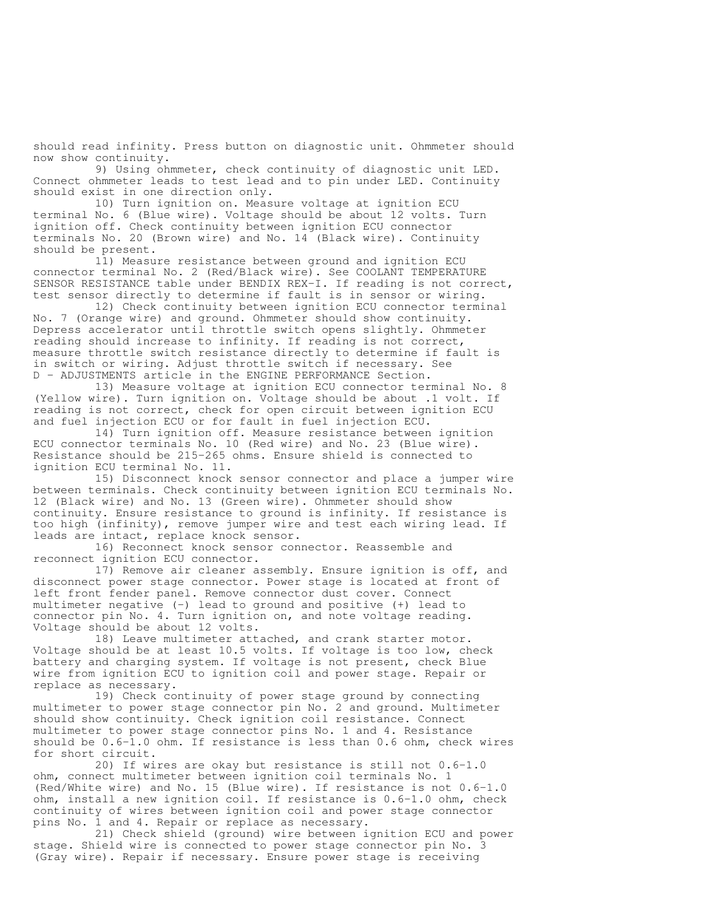should read infinity. Press button on diagnostic unit. Ohmmeter should now show continuity.

 9) Using ohmmeter, check continuity of diagnostic unit LED. Connect ohmmeter leads to test lead and to pin under LED. Continuity should exist in one direction only.

 10) Turn ignition on. Measure voltage at ignition ECU terminal No. 6 (Blue wire). Voltage should be about 12 volts. Turn ignition off. Check continuity between ignition ECU connector terminals No. 20 (Brown wire) and No. 14 (Black wire). Continuity should be present.

 11) Measure resistance between ground and ignition ECU connector terminal No. 2 (Red/Black wire). See COOLANT TEMPERATURE SENSOR RESISTANCE table under BENDIX REX-I. If reading is not correct, test sensor directly to determine if fault is in sensor or wiring.

 12) Check continuity between ignition ECU connector terminal No. 7 (Orange wire) and ground. Ohmmeter should show continuity. Depress accelerator until throttle switch opens slightly. Ohmmeter reading should increase to infinity. If reading is not correct, measure throttle switch resistance directly to determine if fault is in switch or wiring. Adjust throttle switch if necessary. See D - ADJUSTMENTS article in the ENGINE PERFORMANCE Section.

 13) Measure voltage at ignition ECU connector terminal No. 8 (Yellow wire). Turn ignition on. Voltage should be about .1 volt. If reading is not correct, check for open circuit between ignition ECU and fuel injection ECU or for fault in fuel injection ECU.

 14) Turn ignition off. Measure resistance between ignition ECU connector terminals No. 10 (Red wire) and No. 23 (Blue wire). Resistance should be 215-265 ohms. Ensure shield is connected to ignition ECU terminal No. 11.

 15) Disconnect knock sensor connector and place a jumper wire between terminals. Check continuity between ignition ECU terminals No. 12 (Black wire) and No. 13 (Green wire). Ohmmeter should show continuity. Ensure resistance to ground is infinity. If resistance is too high (infinity), remove jumper wire and test each wiring lead. If leads are intact, replace knock sensor.

 16) Reconnect knock sensor connector. Reassemble and reconnect ignition ECU connector.

 17) Remove air cleaner assembly. Ensure ignition is off, and disconnect power stage connector. Power stage is located at front of left front fender panel. Remove connector dust cover. Connect multimeter negative (-) lead to ground and positive (+) lead to connector pin No. 4. Turn ignition on, and note voltage reading. Voltage should be about 12 volts.

 18) Leave multimeter attached, and crank starter motor. Voltage should be at least 10.5 volts. If voltage is too low, check battery and charging system. If voltage is not present, check Blue wire from ignition ECU to ignition coil and power stage. Repair or replace as necessary.

 19) Check continuity of power stage ground by connecting multimeter to power stage connector pin No. 2 and ground. Multimeter should show continuity. Check ignition coil resistance. Connect multimeter to power stage connector pins No. 1 and 4. Resistance should be 0.6-1.0 ohm. If resistance is less than 0.6 ohm, check wires for short circuit.

 20) If wires are okay but resistance is still not 0.6-1.0 ohm, connect multimeter between ignition coil terminals No. 1 (Red/White wire) and No. 15 (Blue wire). If resistance is not 0.6-1.0 ohm, install a new ignition coil. If resistance is 0.6-1.0 ohm, check continuity of wires between ignition coil and power stage connector pins No. 1 and 4. Repair or replace as necessary.

 21) Check shield (ground) wire between ignition ECU and power stage. Shield wire is connected to power stage connector pin No. 3 (Gray wire). Repair if necessary. Ensure power stage is receiving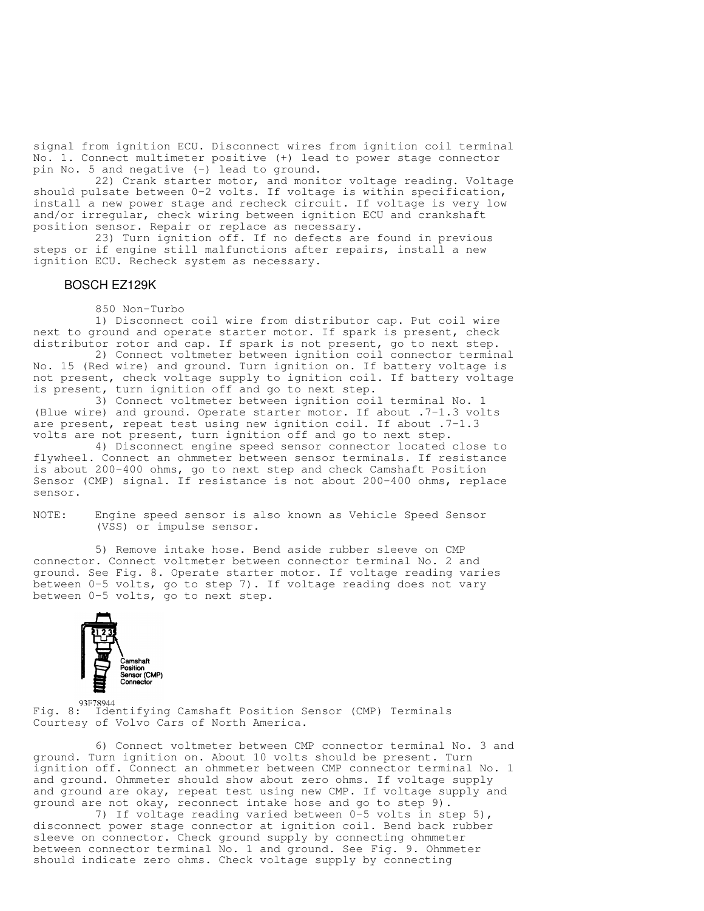signal from ignition ECU. Disconnect wires from ignition coil terminal No. 1. Connect multimeter positive (+) lead to power stage connector pin No. 5 and negative (-) lead to ground.

 22) Crank starter motor, and monitor voltage reading. Voltage should pulsate between 0-2 volts. If voltage is within specification, install a new power stage and recheck circuit. If voltage is very low and/or irregular, check wiring between ignition ECU and crankshaft position sensor. Repair or replace as necessary.

 23) Turn ignition off. If no defects are found in previous steps or if engine still malfunctions after repairs, install a new ignition ECU. Recheck system as necessary.

#### BOSCH EZ129K

850 Non-Turbo

 1) Disconnect coil wire from distributor cap. Put coil wire next to ground and operate starter motor. If spark is present, check distributor rotor and cap. If spark is not present, go to next step.

 2) Connect voltmeter between ignition coil connector terminal No. 15 (Red wire) and ground. Turn ignition on. If battery voltage is not present, check voltage supply to ignition coil. If battery voltage is present, turn ignition off and go to next step.

 3) Connect voltmeter between ignition coil terminal No. 1 (Blue wire) and ground. Operate starter motor. If about .7-1.3 volts are present, repeat test using new ignition coil. If about .7-1.3 volts are not present, turn ignition off and go to next step.

 4) Disconnect engine speed sensor connector located close to flywheel. Connect an ohmmeter between sensor terminals. If resistance is about 200-400 ohms, go to next step and check Camshaft Position Sensor (CMP) signal. If resistance is not about 200-400 ohms, replace sensor.

NOTE: Engine speed sensor is also known as Vehicle Speed Sensor (VSS) or impulse sensor.

 5) Remove intake hose. Bend aside rubber sleeve on CMP connector. Connect voltmeter between connector terminal No. 2 and ground. See Fig. 8. Operate starter motor. If voltage reading varies between 0-5 volts, go to step 7). If voltage reading does not vary between 0-5 volts, go to next step.



93F78944

Fig. 8: Identifying Camshaft Position Sensor (CMP) Terminals Courtesy of Volvo Cars of North America.

 6) Connect voltmeter between CMP connector terminal No. 3 and ground. Turn ignition on. About 10 volts should be present. Turn ignition off. Connect an ohmmeter between CMP connector terminal No. 1 and ground. Ohmmeter should show about zero ohms. If voltage supply and ground are okay, repeat test using new CMP. If voltage supply and ground are not okay, reconnect intake hose and go to step 9).

 7) If voltage reading varied between 0-5 volts in step 5), disconnect power stage connector at ignition coil. Bend back rubber sleeve on connector. Check ground supply by connecting ohmmeter between connector terminal No. 1 and ground. See Fig. 9. Ohmmeter should indicate zero ohms. Check voltage supply by connecting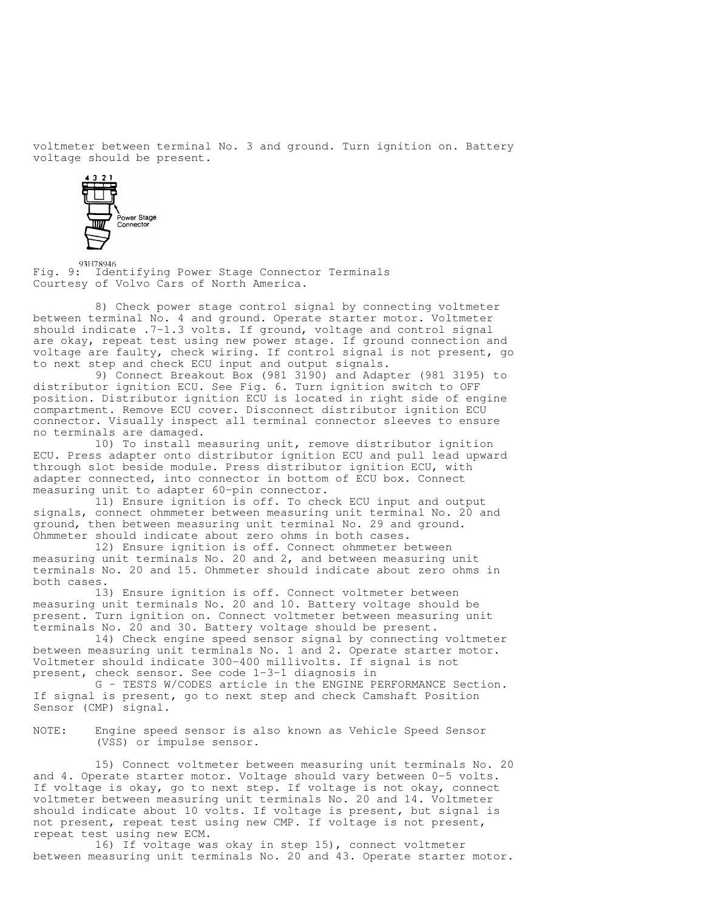voltmeter between terminal No. 3 and ground. Turn ignition on. Battery voltage should be present.



93H78946<br>Fig. 9: Identifying Power Stage Connector Terminals Courtesy of Volvo Cars of North America.

 8) Check power stage control signal by connecting voltmeter between terminal No. 4 and ground. Operate starter motor. Voltmeter should indicate .7-1.3 volts. If ground, voltage and control signal are okay, repeat test using new power stage. If ground connection and voltage are faulty, check wiring. If control signal is not present, go to next step and check ECU input and output signals.

 9) Connect Breakout Box (981 3190) and Adapter (981 3195) to distributor ignition ECU. See Fig. 6. Turn ignition switch to OFF position. Distributor ignition ECU is located in right side of engine compartment. Remove ECU cover. Disconnect distributor ignition ECU connector. Visually inspect all terminal connector sleeves to ensure no terminals are damaged.

 10) To install measuring unit, remove distributor ignition ECU. Press adapter onto distributor ignition ECU and pull lead upward through slot beside module. Press distributor ignition ECU, with adapter connected, into connector in bottom of ECU box. Connect measuring unit to adapter 60-pin connector.

 11) Ensure ignition is off. To check ECU input and output signals, connect ohmmeter between measuring unit terminal No. 20 and ground, then between measuring unit terminal No. 29 and ground. Ohmmeter should indicate about zero ohms in both cases.

 12) Ensure ignition is off. Connect ohmmeter between measuring unit terminals No. 20 and 2, and between measuring unit terminals No. 20 and 15. Ohmmeter should indicate about zero ohms in both cases.

 13) Ensure ignition is off. Connect voltmeter between measuring unit terminals No. 20 and 10. Battery voltage should be present. Turn ignition on. Connect voltmeter between measuring unit terminals No. 20 and 30. Battery voltage should be present.

 14) Check engine speed sensor signal by connecting voltmeter between measuring unit terminals No. 1 and 2. Operate starter motor. Voltmeter should indicate 300-400 millivolts. If signal is not present, check sensor. See code 1-3-1 diagnosis in

 G - TESTS W/CODES article in the ENGINE PERFORMANCE Section. If signal is present, go to next step and check Camshaft Position Sensor (CMP) signal.

NOTE: Engine speed sensor is also known as Vehicle Speed Sensor (VSS) or impulse sensor.

 15) Connect voltmeter between measuring unit terminals No. 20 and 4. Operate starter motor. Voltage should vary between 0-5 volts. If voltage is okay, go to next step. If voltage is not okay, connect voltmeter between measuring unit terminals No. 20 and 14. Voltmeter should indicate about 10 volts. If voltage is present, but signal is not present, repeat test using new CMP. If voltage is not present, repeat test using new ECM.

 16) If voltage was okay in step 15), connect voltmeter between measuring unit terminals No. 20 and 43. Operate starter motor.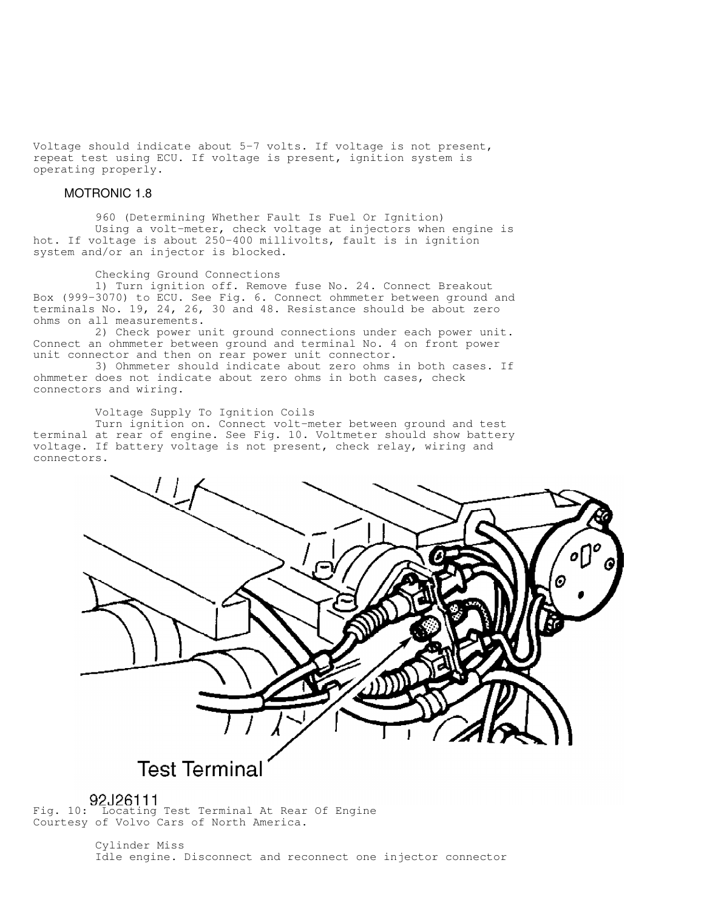Voltage should indicate about 5-7 volts. If voltage is not present, repeat test using ECU. If voltage is present, ignition system is operating properly.

#### MOTRONIC 1.8

 960 (Determining Whether Fault Is Fuel Or Ignition) Using a volt-meter, check voltage at injectors when engine is hot. If voltage is about 250-400 millivolts, fault is in ignition system and/or an injector is blocked.

#### Checking Ground Connections

 1) Turn ignition off. Remove fuse No. 24. Connect Breakout Box (999-3070) to ECU. See Fig. 6. Connect ohmmeter between ground and terminals No. 19, 24, 26, 30 and 48. Resistance should be about zero ohms on all measurements.

 2) Check power unit ground connections under each power unit. Connect an ohmmeter between ground and terminal No. 4 on front power unit connector and then on rear power unit connector.

 3) Ohmmeter should indicate about zero ohms in both cases. If ohmmeter does not indicate about zero ohms in both cases, check connectors and wiring.

Voltage Supply To Ignition Coils

 Turn ignition on. Connect volt-meter between ground and test terminal at rear of engine. See Fig. 10. Voltmeter should show battery voltage. If battery voltage is not present, check relay, wiring and connectors.



# **Test Terminal**

Fig. 10: Locating Test Terminal At Rear Of Engine Courtesy of Volvo Cars of North America.

> Cylinder Miss Idle engine. Disconnect and reconnect one injector connector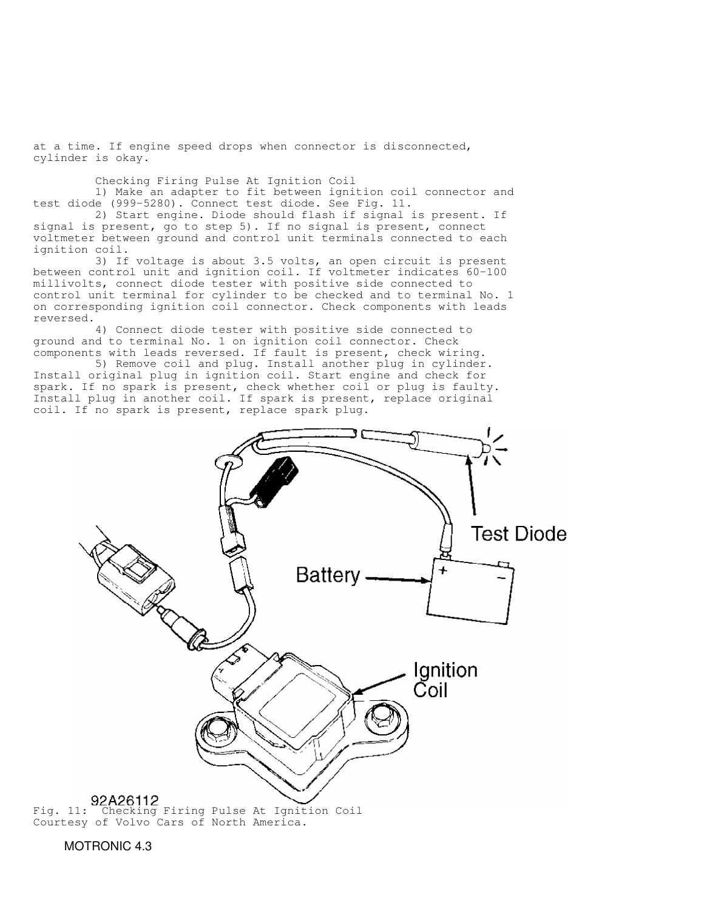at a time. If engine speed drops when connector is disconnected, cylinder is okay.

Checking Firing Pulse At Ignition Coil

 1) Make an adapter to fit between ignition coil connector and test diode (999-5280). Connect test diode. See Fig. 11.

 2) Start engine. Diode should flash if signal is present. If signal is present, go to step 5). If no signal is present, connect voltmeter between ground and control unit terminals connected to each ignition coil.

 3) If voltage is about 3.5 volts, an open circuit is present between control unit and ignition coil. If voltmeter indicates 60-100 millivolts, connect diode tester with positive side connected to control unit terminal for cylinder to be checked and to terminal No. 1 on corresponding ignition coil connector. Check components with leads reversed.

 4) Connect diode tester with positive side connected to ground and to terminal No. 1 on ignition coil connector. Check components with leads reversed. If fault is present, check wiring.

 5) Remove coil and plug. Install another plug in cylinder. Install original plug in ignition coil. Start engine and check for spark. If no spark is present, check whether coil or plug is faulty. Install plug in another coil. If spark is present, replace original coil. If no spark is present, replace spark plug.



Courtesy of Volvo Cars of North America.

MOTRONIC 4.3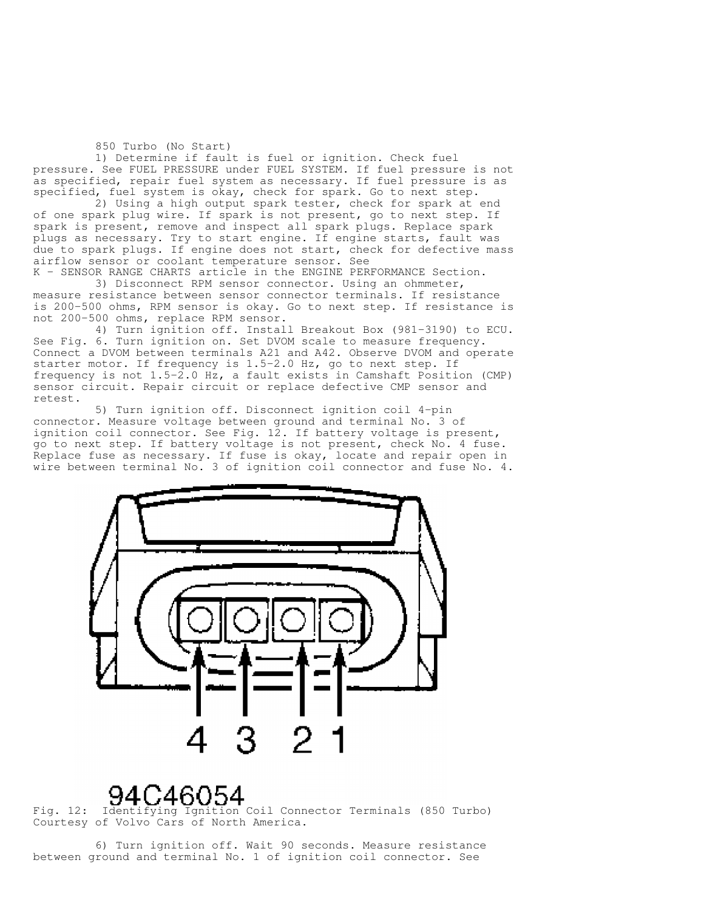850 Turbo (No Start)

 1) Determine if fault is fuel or ignition. Check fuel pressure. See FUEL PRESSURE under FUEL SYSTEM. If fuel pressure is not as specified, repair fuel system as necessary. If fuel pressure is as specified, fuel system is okay, check for spark. Go to next step.

2) Using a high output spark tester, check for spark at end of one spark plug wire. If spark is not present, go to next step. If spark is present, remove and inspect all spark plugs. Replace spark plugs as necessary. Try to start engine. If engine starts, fault was due to spark plugs. If engine does not start, check for defective mass airflow sensor or coolant temperature sensor. See

K - SENSOR RANGE CHARTS article in the ENGINE PERFORMANCE Section. 3) Disconnect RPM sensor connector. Using an ohmmeter, measure resistance between sensor connector terminals. If resistance is 200-500 ohms, RPM sensor is okay. Go to next step. If resistance is not 200-500 ohms, replace RPM sensor.

 4) Turn ignition off. Install Breakout Box (981-3190) to ECU. See Fig. 6. Turn ignition on. Set DVOM scale to measure frequency. Connect a DVOM between terminals A21 and A42. Observe DVOM and operate starter motor. If frequency is 1.5-2.0 Hz, go to next step. If frequency is not  $1.5-2.0$  Hz, a fault exists in Camshaft Position (CMP) sensor circuit. Repair circuit or replace defective CMP sensor and retest.

 5) Turn ignition off. Disconnect ignition coil 4-pin connector. Measure voltage between ground and terminal No. 3 of ignition coil connector. See Fig. 12. If battery voltage is present, go to next step. If battery voltage is not present, check No. 4 fuse. Replace fuse as necessary. If fuse is okay, locate and repair open in wire between terminal No. 3 of ignition coil connector and fuse No. 4.



Fig. 12: Identifying Ignition Coil Connector Terminals (850 Turbo) Courtesy of Volvo Cars of North America.

 6) Turn ignition off. Wait 90 seconds. Measure resistance between ground and terminal No. 1 of ignition coil connector. See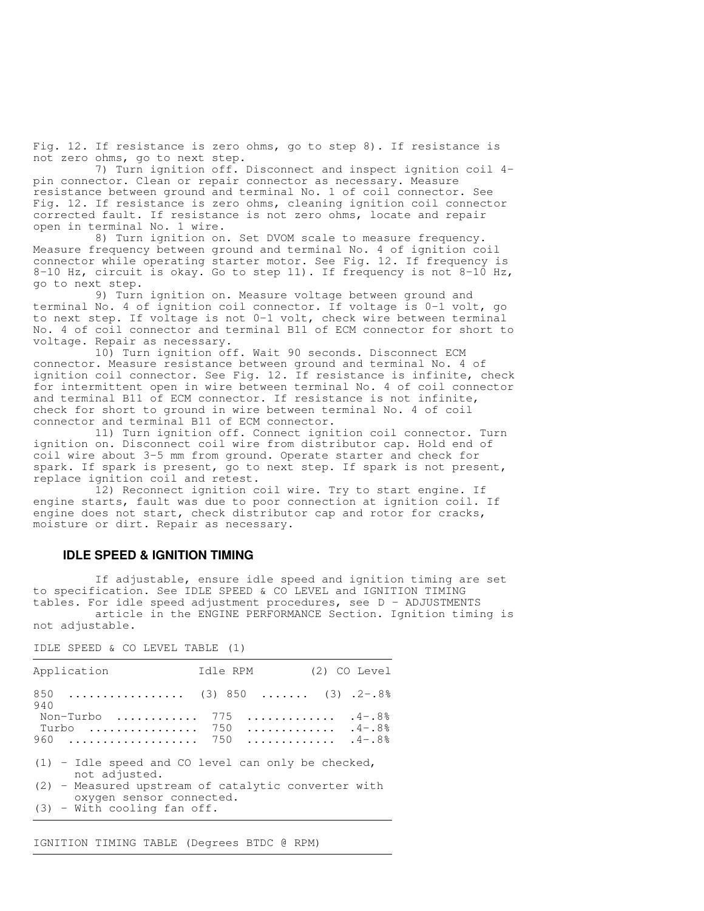Fig. 12. If resistance is zero ohms, go to step 8). If resistance is not zero ohms, go to next step.

 7) Turn ignition off. Disconnect and inspect ignition coil 4 pin connector. Clean or repair connector as necessary. Measure resistance between ground and terminal No. 1 of coil connector. See Fig. 12. If resistance is zero ohms, cleaning ignition coil connector corrected fault. If resistance is not zero ohms, locate and repair open in terminal No. 1 wire.

 8) Turn ignition on. Set DVOM scale to measure frequency. Measure frequency between ground and terminal No. 4 of ignition coil connector while operating starter motor. See Fig. 12. If frequency is 8-10 Hz, circuit is okay. Go to step 11). If frequency is not 8-10 Hz, go to next step.

 9) Turn ignition on. Measure voltage between ground and terminal No. 4 of ignition coil connector. If voltage is 0-1 volt, go to next step. If voltage is not 0-1 volt, check wire between terminal No. 4 of coil connector and terminal B11 of ECM connector for short to voltage. Repair as necessary.

 10) Turn ignition off. Wait 90 seconds. Disconnect ECM connector. Measure resistance between ground and terminal No. 4 of ignition coil connector. See Fig. 12. If resistance is infinite, check for intermittent open in wire between terminal No. 4 of coil connector and terminal B11 of ECM connector. If resistance is not infinite, check for short to ground in wire between terminal No. 4 of coil connector and terminal B11 of ECM connector.

 11) Turn ignition off. Connect ignition coil connector. Turn ignition on. Disconnect coil wire from distributor cap. Hold end of coil wire about 3-5 mm from ground. Operate starter and check for spark. If spark is present, go to next step. If spark is not present, replace ignition coil and retest.

 12) Reconnect ignition coil wire. Try to start engine. If engine starts, fault was due to poor connection at ignition coil. If engine does not start, check distributor cap and rotor for cracks, moisture or dirt. Repair as necessary.

#### **IDLE SPEED & IGNITION TIMING**

 If adjustable, ensure idle speed and ignition timing are set to specification. See IDLE SPEED & CO LEVEL and IGNITION TIMING tables. For idle speed adjustment procedures, see D - ADJUSTMENTS article in the ENGINE PERFORMANCE Section. Ignition timing is not adjustable.

,我们就是一个人的,我们就是一个人的,我们就是一个人的,我们就是一个人的。""我们,我们就是一个人的,我们就是一个人的。""我们,我们就是一个人的,我们就是一个 Application 1dle RPM (2) CO Level 850 ................. (3) 850 ....... (3) .2-.8% 940 Non-Turbo ............. 775 ............... 4-.8%<br>Turbo ................ 750 .............. 4-.8% Turbo ................ 750 ............. .4-.8% 960 ................... 750 ............. .4-.8% (1) - Idle speed and CO level can only be checked, not adjusted. (2) - Measured upstream of catalytic converter with oxygen sensor connected. (3) - With cooling fan off.

,我们就是一个人的,我们就是一个人的,我们就是一个人的,我们就是一个人的。""我们,我们就是一个人的,我们就是一个人的。""我们,我们就是一个人的,我们就是一个

IDLE SPEED & CO LEVEL TABLE (1)

IGNITION TIMING TABLE (Degrees BTDC @ RPM)